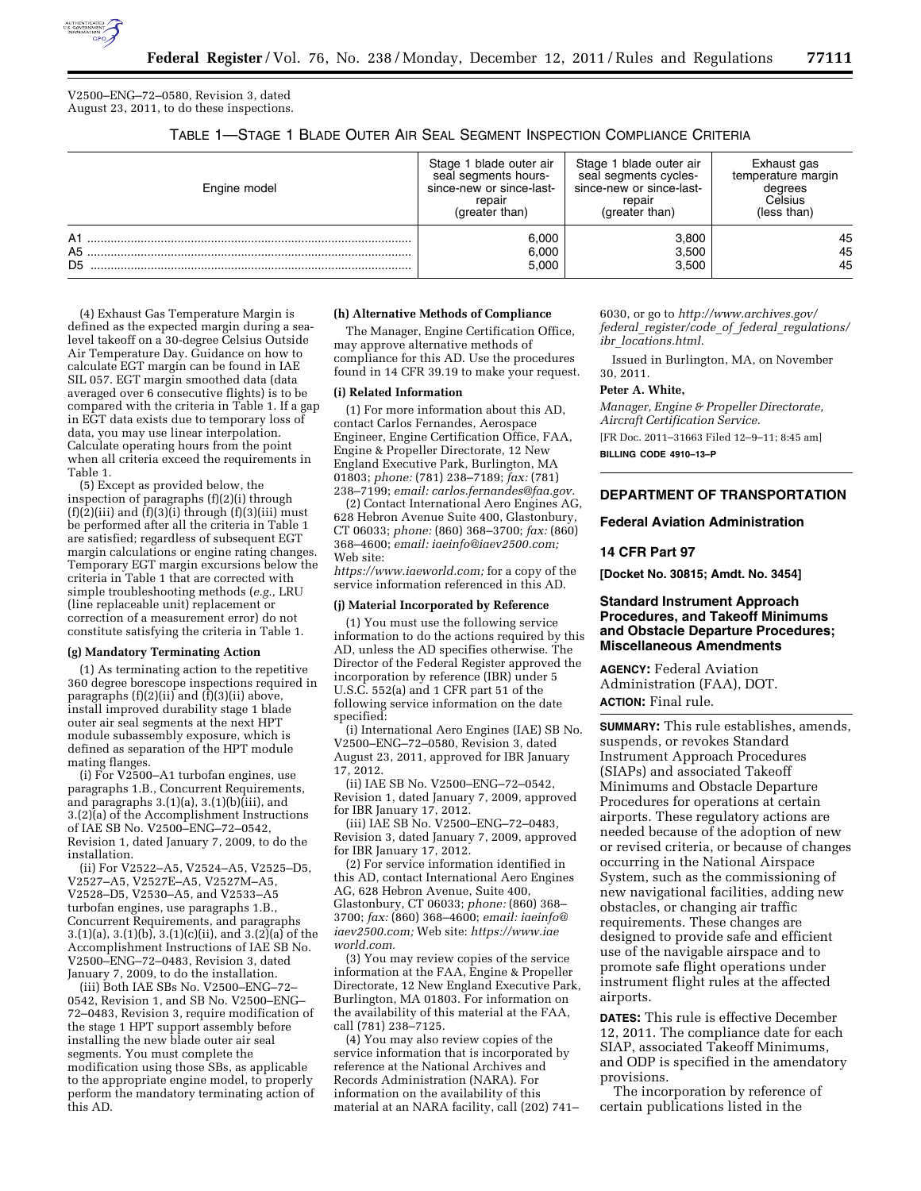

V2500–ENG–72–0580, Revision 3, dated August 23, 2011, to do these inspections.

TABLE 1—STAGE 1 BLADE OUTER AIR SEAL SEGMENT INSPECTION COMPLIANCE CRITERIA

| Engine model               | Stage 1 blade outer air  | Stage 1 blade outer air  | Exhaust gas        |
|----------------------------|--------------------------|--------------------------|--------------------|
|                            | seal segments hours-     | seal segments cycles-    | temperature margin |
|                            | since-new or since-last- | since-new or since-last- | dearees            |
|                            | repair                   | repair                   | Celsius            |
|                            | (greater than)           | (greater than)           | (less than)        |
| A1<br>A5<br>D <sub>5</sub> | 6.000<br>6.000<br>5.000  | 3,800<br>3,500<br>3.500  | 45<br>45<br>45     |

(4) Exhaust Gas Temperature Margin is defined as the expected margin during a sealevel takeoff on a 30-degree Celsius Outside Air Temperature Day. Guidance on how to calculate EGT margin can be found in IAE SIL 057. EGT margin smoothed data (data averaged over 6 consecutive flights) is to be compared with the criteria in Table 1. If a gap in EGT data exists due to temporary loss of data, you may use linear interpolation. Calculate operating hours from the point when all criteria exceed the requirements in Table 1.

(5) Except as provided below, the inspection of paragraphs (f)(2)(i) through  $(f)(2)(iii)$  and  $(f)(3)(i)$  through  $(f)(3)(iii)$  must be performed after all the criteria in Table 1 are satisfied; regardless of subsequent EGT margin calculations or engine rating changes. Temporary EGT margin excursions below the criteria in Table 1 that are corrected with simple troubleshooting methods (*e.g.,* LRU (line replaceable unit) replacement or correction of a measurement error) do not constitute satisfying the criteria in Table 1.

#### **(g) Mandatory Terminating Action**

(1) As terminating action to the repetitive 360 degree borescope inspections required in paragraphs (f)(2)(ii) and (f)(3)(ii) above, install improved durability stage 1 blade outer air seal segments at the next HPT module subassembly exposure, which is defined as separation of the HPT module mating flanges.

(i) For V2500–A1 turbofan engines, use paragraphs 1.B., Concurrent Requirements, and paragraphs 3.(1)(a), 3.(1)(b)(iii), and 3.(2)(a) of the Accomplishment Instructions of IAE SB No. V2500–ENG–72–0542, Revision 1, dated January 7, 2009, to do the installation.

(ii) For V2522–A5, V2524–A5, V2525–D5, V2527–A5, V2527E–A5, V2527M–A5, V2528–D5, V2530–A5, and V2533–A5 turbofan engines, use paragraphs 1.B., Concurrent Requirements, and paragraphs 3.(1)(a), 3.(1)(b), 3.(1)(c)(ii), and  $3.(2)$ (a) of the Accomplishment Instructions of IAE SB No. V2500–ENG–72–0483, Revision 3, dated January 7, 2009, to do the installation.

(iii) Both IAE SBs No. V2500–ENG–72– 0542, Revision 1, and SB No. V2500–ENG– 72–0483, Revision 3, require modification of the stage 1 HPT support assembly before installing the new blade outer air seal segments. You must complete the modification using those SBs, as applicable to the appropriate engine model, to properly perform the mandatory terminating action of this AD.

#### **(h) Alternative Methods of Compliance**

The Manager, Engine Certification Office, may approve alternative methods of compliance for this AD. Use the procedures found in 14 CFR 39.19 to make your request.

#### **(i) Related Information**

(1) For more information about this AD, contact Carlos Fernandes, Aerospace Engineer, Engine Certification Office, FAA, Engine & Propeller Directorate, 12 New England Executive Park, Burlington, MA 01803; *phone:* (781) 238–7189; *fax:* (781) 238–7199; *email: carlos.fernandes@faa.gov.* 

(2) Contact International Aero Engines AG, 628 Hebron Avenue Suite 400, Glastonbury, CT 06033; *phone:* (860) 368–3700; *fax:* (860) 368–4600; *email: iaeinfo@iaev2500.com;*  Web site:

*https://www.iaeworld.com;* for a copy of the service information referenced in this AD.

#### **(j) Material Incorporated by Reference**

(1) You must use the following service information to do the actions required by this AD, unless the AD specifies otherwise. The Director of the Federal Register approved the incorporation by reference (IBR) under 5 U.S.C. 552(a) and 1 CFR part 51 of the following service information on the date specified:

(i) International Aero Engines (IAE) SB No. V2500–ENG–72–0580, Revision 3, dated August 23, 2011, approved for IBR January 17, 2012.

(ii) IAE SB No. V2500–ENG–72–0542, Revision 1, dated January 7, 2009, approved for IBR January 17, 2012.

(iii) IAE SB No. V2500–ENG–72–0483, Revision 3, dated January 7, 2009, approved for IBR January 17, 2012.

(2) For service information identified in this AD, contact International Aero Engines AG, 628 Hebron Avenue, Suite 400, Glastonbury, CT 06033; *phone:* (860) 368– 3700; *fax:* (860) 368–4600; *email: iaeinfo@ iaev2500.com;* Web site: *https://www.iae world.com.* 

(3) You may review copies of the service information at the FAA, Engine & Propeller Directorate, 12 New England Executive Park, Burlington, MA 01803. For information on the availability of this material at the FAA, call (781) 238–7125.

(4) You may also review copies of the service information that is incorporated by reference at the National Archives and Records Administration (NARA). For information on the availability of this material at an NARA facility, call (202) 741– 6030, or go to *http://www.archives.gov/ federal*\_*register/code*\_*of*\_*federal*\_*regulations/ ibr*\_*locations.html.* 

Issued in Burlington, MA, on November 30, 2011.

#### **Peter A. White,**

*Manager, Engine & Propeller Directorate, Aircraft Certification Service.* 

[FR Doc. 2011–31663 Filed 12–9–11; 8:45 am] **BILLING CODE 4910–13–P** 

# **DEPARTMENT OF TRANSPORTATION**

#### **Federal Aviation Administration**

## **14 CFR Part 97**

**[Docket No. 30815; Amdt. No. 3454]** 

### **Standard Instrument Approach Procedures, and Takeoff Minimums and Obstacle Departure Procedures; Miscellaneous Amendments**

**AGENCY:** Federal Aviation Administration (FAA), DOT. **ACTION:** Final rule.

**SUMMARY:** This rule establishes, amends, suspends, or revokes Standard Instrument Approach Procedures (SIAPs) and associated Takeoff Minimums and Obstacle Departure Procedures for operations at certain airports. These regulatory actions are needed because of the adoption of new or revised criteria, or because of changes occurring in the National Airspace System, such as the commissioning of new navigational facilities, adding new obstacles, or changing air traffic requirements. These changes are designed to provide safe and efficient use of the navigable airspace and to promote safe flight operations under instrument flight rules at the affected airports.

**DATES:** This rule is effective December 12, 2011. The compliance date for each SIAP, associated Takeoff Minimums, and ODP is specified in the amendatory provisions.

The incorporation by reference of certain publications listed in the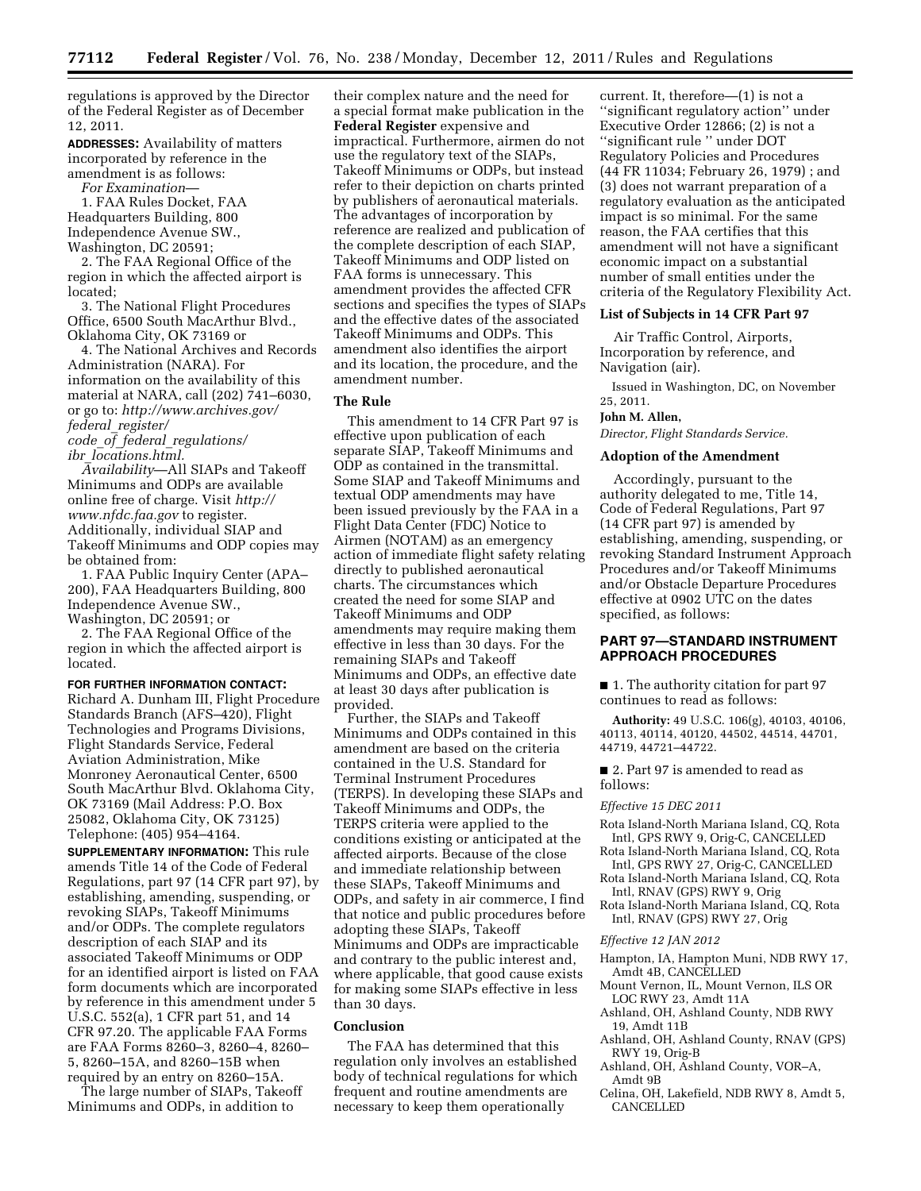regulations is approved by the Director of the Federal Register as of December 12, 2011.

**ADDRESSES:** Availability of matters incorporated by reference in the amendment is as follows:

*For Examination*—

1. FAA Rules Docket, FAA Headquarters Building, 800 Independence Avenue SW., Washington, DC 20591;

2. The FAA Regional Office of the region in which the affected airport is located;

3. The National Flight Procedures Office, 6500 South MacArthur Blvd., Oklahoma City, OK 73169 or

4. The National Archives and Records Administration (NARA). For information on the availability of this material at NARA, call (202) 741–6030, or go to: *http://www.archives.gov/ federal*\_*register/* 

*code*\_*of*\_*federal*\_*regulations/ ibr*\_*locations.html.* 

*Availability*—All SIAPs and Takeoff Minimums and ODPs are available online free of charge. Visit *http:// www.nfdc.faa.gov* to register. Additionally, individual SIAP and Takeoff Minimums and ODP copies may be obtained from:

1. FAA Public Inquiry Center (APA– 200), FAA Headquarters Building, 800 Independence Avenue SW., Washington, DC 20591; or

2. The FAA Regional Office of the region in which the affected airport is located.

#### **FOR FURTHER INFORMATION CONTACT:**

Richard A. Dunham III, Flight Procedure Standards Branch (AFS–420), Flight Technologies and Programs Divisions, Flight Standards Service, Federal Aviation Administration, Mike Monroney Aeronautical Center, 6500 South MacArthur Blvd. Oklahoma City, OK 73169 (Mail Address: P.O. Box 25082, Oklahoma City, OK 73125) Telephone: (405) 954–4164.

**SUPPLEMENTARY INFORMATION:** This rule amends Title 14 of the Code of Federal Regulations, part 97 (14 CFR part 97), by establishing, amending, suspending, or revoking SIAPs, Takeoff Minimums and/or ODPs. The complete regulators description of each SIAP and its associated Takeoff Minimums or ODP for an identified airport is listed on FAA form documents which are incorporated by reference in this amendment under 5 U.S.C. 552(a), 1 CFR part 51, and 14 CFR 97.20. The applicable FAA Forms are FAA Forms 8260–3, 8260–4, 8260– 5, 8260–15A, and 8260–15B when required by an entry on 8260–15A.

The large number of SIAPs, Takeoff Minimums and ODPs, in addition to

their complex nature and the need for a special format make publication in the **Federal Register** expensive and impractical. Furthermore, airmen do not use the regulatory text of the SIAPs, Takeoff Minimums or ODPs, but instead refer to their depiction on charts printed by publishers of aeronautical materials. The advantages of incorporation by reference are realized and publication of the complete description of each SIAP, Takeoff Minimums and ODP listed on FAA forms is unnecessary. This amendment provides the affected CFR sections and specifies the types of SIAPs and the effective dates of the associated Takeoff Minimums and ODPs. This amendment also identifies the airport and its location, the procedure, and the amendment number.

## **The Rule**

This amendment to 14 CFR Part 97 is effective upon publication of each separate SIAP, Takeoff Minimums and ODP as contained in the transmittal. Some SIAP and Takeoff Minimums and textual ODP amendments may have been issued previously by the FAA in a Flight Data Center (FDC) Notice to Airmen (NOTAM) as an emergency action of immediate flight safety relating directly to published aeronautical charts. The circumstances which created the need for some SIAP and Takeoff Minimums and ODP amendments may require making them effective in less than 30 days. For the remaining SIAPs and Takeoff Minimums and ODPs, an effective date at least 30 days after publication is provided.

Further, the SIAPs and Takeoff Minimums and ODPs contained in this amendment are based on the criteria contained in the U.S. Standard for Terminal Instrument Procedures (TERPS). In developing these SIAPs and Takeoff Minimums and ODPs, the TERPS criteria were applied to the conditions existing or anticipated at the affected airports. Because of the close and immediate relationship between these SIAPs, Takeoff Minimums and ODPs, and safety in air commerce, I find that notice and public procedures before adopting these SIAPs, Takeoff Minimums and ODPs are impracticable and contrary to the public interest and, where applicable, that good cause exists for making some SIAPs effective in less than 30 days.

## **Conclusion**

The FAA has determined that this regulation only involves an established body of technical regulations for which frequent and routine amendments are necessary to keep them operationally

current. It, therefore—(1) is not a ''significant regulatory action'' under Executive Order 12866; (2) is not a ''significant rule '' under DOT Regulatory Policies and Procedures (44 FR 11034; February 26, 1979) ; and (3) does not warrant preparation of a regulatory evaluation as the anticipated impact is so minimal. For the same reason, the FAA certifies that this amendment will not have a significant economic impact on a substantial number of small entities under the criteria of the Regulatory Flexibility Act.

# **List of Subjects in 14 CFR Part 97**

Air Traffic Control, Airports, Incorporation by reference, and Navigation (air).

Issued in Washington, DC, on November 25, 2011.

#### **John M. Allen,**

*Director, Flight Standards Service.* 

### **Adoption of the Amendment**

Accordingly, pursuant to the authority delegated to me, Title 14, Code of Federal Regulations, Part 97 (14 CFR part 97) is amended by establishing, amending, suspending, or revoking Standard Instrument Approach Procedures and/or Takeoff Minimums and/or Obstacle Departure Procedures effective at 0902 UTC on the dates specified, as follows:

### **PART 97—STANDARD INSTRUMENT APPROACH PROCEDURES**

■ 1. The authority citation for part 97 continues to read as follows:

**Authority:** 49 U.S.C. 106(g), 40103, 40106, 40113, 40114, 40120, 44502, 44514, 44701, 44719, 44721–44722.

■ 2. Part 97 is amended to read as follows:

### *Effective 15 DEC 2011*

- Rota Island-North Mariana Island, CQ, Rota Intl, GPS RWY 9, Orig-C, CANCELLED
- Rota Island-North Mariana Island, CQ, Rota Intl, GPS RWY 27, Orig-C, CANCELLED
- Rota Island-North Mariana Island, CQ, Rota Intl, RNAV (GPS) RWY 9, Orig
- Rota Island-North Mariana Island, CQ, Rota Intl, RNAV (GPS) RWY 27, Orig

### *Effective 12 JAN 2012*

- Hampton, IA, Hampton Muni, NDB RWY 17, Amdt 4B, CANCELLED
- Mount Vernon, IL, Mount Vernon, ILS OR LOC RWY 23, Amdt 11A
- Ashland, OH, Ashland County, NDB RWY 19, Amdt 11B
- Ashland, OH, Ashland County, RNAV (GPS) RWY 19, Orig-B
- Ashland, OH, Ashland County, VOR–A, Amdt 9B
- Celina, OH, Lakefield, NDB RWY 8, Amdt 5, **CANCELLED**